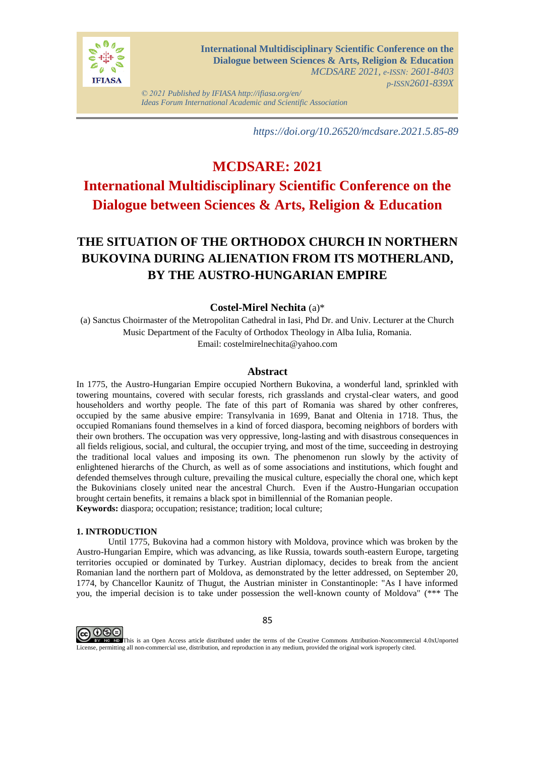

*© 2021 Published by IFIASA http://ifiasa.org/en/ Ideas Forum International Academic and Scientific Association*

*https://doi.org/10.26520/mcdsare.2021.5.85-89*

# **MCDSARE: 2021 International Multidisciplinary Scientific Conference on the Dialogue between Sciences & Arts, Religion & Education**

# **THE SITUATION OF THE ORTHODOX CHURCH IN NORTHERN BUKOVINA DURING ALIENATION FROM ITS MOTHERLAND, BY THE AUSTRO-HUNGARIAN EMPIRE**

## **Costel-Mirel Nechita** (a)\*

(a) Sanctus Choirmaster of the Metropolitan Cathedral in Iasi, Phd Dr. and Univ. Lecturer at the Church Music Department of the Faculty of Orthodox Theology in Alba Iulia, Romania.

Email: costelmirelnechita@yahoo.com

## **Abstract**

In 1775, the Austro-Hungarian Empire occupied Northern Bukovina, a wonderful land, sprinkled with towering mountains, covered with secular forests, rich grasslands and crystal-clear waters, and good householders and worthy people. The fate of this part of Romania was shared by other confreres, occupied by the same abusive empire: Transylvania in 1699, Banat and Oltenia in 1718. Thus, the occupied Romanians found themselves in a kind of forced diaspora, becoming neighbors of borders with their own brothers. The occupation was very oppressive, long-lasting and with disastrous consequences in all fields religious, social, and cultural, the occupier trying, and most of the time, succeeding in destroying the traditional local values and imposing its own. The phenomenon run slowly by the activity of enlightened hierarchs of the Church, as well as of some associations and institutions, which fought and defended themselves through culture, prevailing the musical culture, especially the choral one, which kept the Bukovinians closely united near the ancestral Church. Even if the Austro-Hungarian occupation brought certain benefits, it remains a black spot in bimillennial of the Romanian people. **Keywords:** diaspora; occupation; resistance; tradition; local culture;

#### **1. INTRODUCTION**

Until 1775, Bukovina had a common history with Moldova, province which was broken by the Austro-Hungarian Empire, which was advancing, as like Russia, towards south-eastern Europe, targeting territories occupied or dominated by Turkey. Austrian diplomacy, decides to break from the ancient Romanian land the northern part of Moldova, as demonstrated by the letter addressed, on September 20, 1774, by Chancellor Kaunitz of Thugut, the Austrian minister in Constantinople: "As I have informed you, the imperial decision is to take under possession the well-known county of Moldova" (\*\*\* The



85

EV NO This is an Open Access article distributed under the terms of the Creative Commons Attribution-Noncommercial 4.0xUnported License, permitting all non-commercial use, distribution, and reproduction in any medium, provided the original work isproperly cited.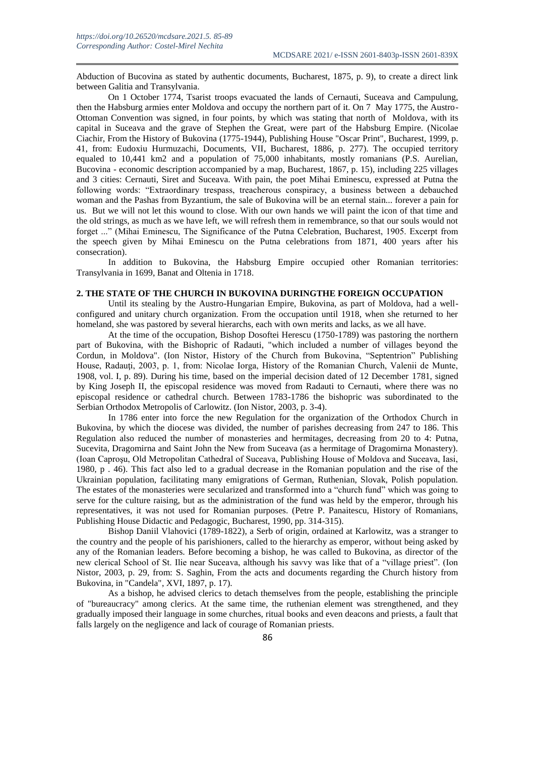Abduction of Bucovina as stated by authentic documents, Bucharest, 1875, p. 9), to create a direct link between Galitia and Transylvania.

On 1 October 1774, Tsarist troops evacuated the lands of Cernauti, Suceava and Campulung, then the Habsburg armies enter Moldova and occupy the northern part of it. On 7 May 1775, the Austro-Ottoman Convention was signed, in four points, by which was stating that north of Moldova, with its capital in Suceava and the grave of Stephen the Great, were part of the Habsburg Empire. (Nicolae Ciachir, From the History of Bukovina (1775-1944), Publishing House "Oscar Print", Bucharest, 1999, p. 41, from: Eudoxiu Hurmuzachi, Documents, VII, Bucharest, 1886, p. 277). The occupied territory equaled to 10,441 km2 and a population of 75,000 inhabitants, mostly romanians (P.S. Aurelian, Bucovina - economic description accompanied by a map, Bucharest, 1867, p. 15), including 225 villages and 3 cities: Cernauti, Siret and Suceava. With pain, the poet Mihai Eminescu, expressed at Putna the following words: "Extraordinary trespass, treacherous conspiracy, a business between a debauched woman and the Pashas from Byzantium, the sale of Bukovina will be an eternal stain... forever a pain for us. But we will not let this wound to close. With our own hands we will paint the icon of that time and the old strings, as much as we have left, we will refresh them in remembrance, so that our souls would not forget ..." (Mihai Eminescu, The Significance of the Putna Celebration, Bucharest, 1905. Excerpt from the speech given by Mihai Eminescu on the Putna celebrations from 1871, 400 years after his consecration).

In addition to Bukovina, the Habsburg Empire occupied other Romanian territories: Transylvania in 1699, Banat and Oltenia in 1718.

#### **2. THE STATE OF THE CHURCH IN BUKOVINA DURINGTHE FOREIGN OCCUPATION**

Until its stealing by the Austro-Hungarian Empire, Bukovina, as part of Moldova, had a wellconfigured and unitary church organization. From the occupation until 1918, when she returned to her homeland, she was pastored by several hierarchs, each with own merits and lacks, as we all have.

At the time of the occupation, Bishop Dosoftei Herescu (1750-1789) was pastoring the northern part of Bukovina, with the Bishopric of Radauti, "which included a number of villages beyond the Cordun, in Moldova". (Ion Nistor, History of the Church from Bukovina, "Septentrion" Publishing House, Radauti, 2003, p. 1, from: Nicolae Iorga, History of the Romanian Church, Valenii de Munte, 1908, vol. I, p. 89). During his time, based on the imperial decision dated of 12 December 1781, signed by King Joseph II, the episcopal residence was moved from Radauti to Cernauti, where there was no episcopal residence or cathedral church. Between 1783-1786 the bishopric was subordinated to the Serbian Orthodox Metropolis of Carlowitz. (Ion Nistor, 2003, p. 3-4).

In 1786 enter into force the new Regulation for the organization of the Orthodox Church in Bukovina, by which the diocese was divided, the number of parishes decreasing from 247 to 186. This Regulation also reduced the number of monasteries and hermitages, decreasing from 20 to 4: Putna, Sucevita, Dragomirna and Saint John the New from Suceava (as a hermitage of Dragomirna Monastery). (Ioan Caproşu, Old Metropolitan Cathedral of Suceava, Publishing House of Moldova and Suceava, Iasi, 1980, p . 46). This fact also led to a gradual decrease in the Romanian population and the rise of the Ukrainian population, facilitating many emigrations of German, Ruthenian, Slovak, Polish population. The estates of the monasteries were secularized and transformed into a "church fund" which was going to serve for the culture raising, but as the administration of the fund was held by the emperor, through his representatives, it was not used for Romanian purposes. (Petre P. Panaitescu, History of Romanians, Publishing House Didactic and Pedagogic, Bucharest, 1990, pp. 314-315).

Bishop Daniil Vlahovici (1789-1822), a Serb of origin, ordained at Karlowitz, was a stranger to the country and the people of his parishioners, called to the hierarchy as emperor, without being asked by any of the Romanian leaders. Before becoming a bishop, he was called to Bukovina, as director of the new clerical School of St. Ilie near Suceava, although his savvy was like that of a "village priest". (Ion Nistor, 2003, p. 29, from: S. Saghin, From the acts and documents regarding the Church history from Bukovina, in "Candela", XVI, 1897, p. 17).

As a bishop, he advised clerics to detach themselves from the people, establishing the principle of "bureaucracy" among clerics. At the same time, the ruthenian element was strengthened, and they gradually imposed their language in some churches, ritual books and even deacons and priests, a fault that falls largely on the negligence and lack of courage of Romanian priests.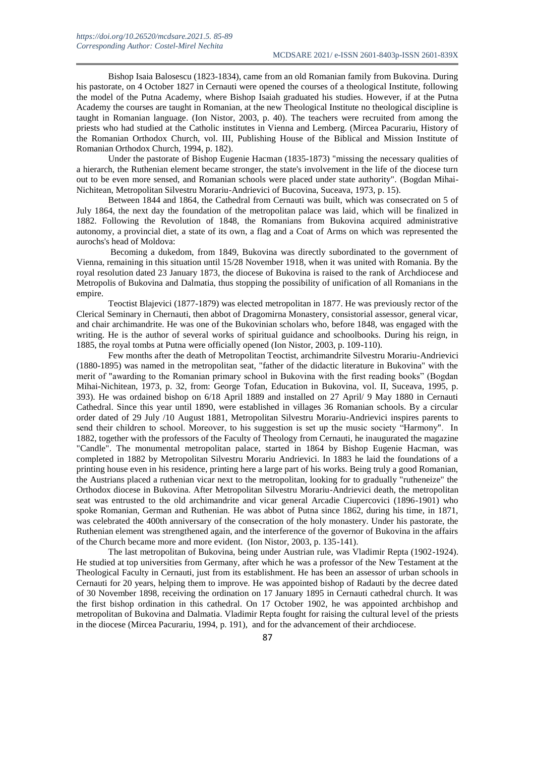Bishop Isaia Balosescu (1823-1834), came from an old Romanian family from Bukovina. During his pastorate, on 4 October 1827 in Cernauti were opened the courses of a theological Institute, following the model of the Putna Academy, where Bishop Isaiah graduated his studies. However, if at the Putna Academy the courses are taught in Romanian, at the new Theological Institute no theological discipline is taught in Romanian language. (Ion Nistor, 2003, p. 40). The teachers were recruited from among the priests who had studied at the Catholic institutes in Vienna and Lemberg. (Mircea Pacurariu, History of the Romanian Orthodox Church, vol. III, Publishing House of the Biblical and Mission Institute of Romanian Orthodox Church, 1994, p. 182).

Under the pastorate of Bishop Eugenie Hacman (1835-1873) "missing the necessary qualities of a hierarch, the Ruthenian element became stronger, the state's involvement in the life of the diocese turn out to be even more sensed, and Romanian schools were placed under state authority". (Bogdan Mihai-Nichitean, Metropolitan Silvestru Morariu-Andrievici of Bucovina, Suceava, 1973, p. 15).

Between 1844 and 1864, the Cathedral from Cernauti was built, which was consecrated on 5 of July 1864, the next day the foundation of the metropolitan palace was laid, which will be finalized in 1882. Following the Revolution of 1848, the Romanians from Bukovina acquired administrative autonomy, a provincial diet, a state of its own, a flag and a Coat of Arms on which was represented the aurochs's head of Moldova:

Becoming a dukedom, from 1849, Bukovina was directly subordinated to the government of Vienna, remaining in this situation until 15/28 November 1918, when it was united with Romania. By the royal resolution dated 23 January 1873, the diocese of Bukovina is raised to the rank of Archdiocese and Metropolis of Bukovina and Dalmatia, thus stopping the possibility of unification of all Romanians in the empire.

Teoctist Blajevici (1877-1879) was elected metropolitan in 1877. He was previously rector of the Clerical Seminary in Chernauti, then abbot of Dragomirna Monastery, consistorial assessor, general vicar, and chair archimandrite. He was one of the Bukovinian scholars who, before 1848, was engaged with the writing. He is the author of several works of spiritual guidance and schoolbooks. During his reign, in 1885, the royal tombs at Putna were officially opened (Ion Nistor, 2003, p. 109-110).

Few months after the death of Metropolitan Teoctist, archimandrite Silvestru Morariu-Andrievici (1880-1895) was named in the metropolitan seat, "father of the didactic literature in Bukovina" with the merit of "awarding to the Romanian primary school in Bukovina with the first reading books" (Bogdan Mihai-Nichitean, 1973, p. 32, from: George Tofan, Education in Bukovina, vol. II, Suceava, 1995, p. 393). He was ordained bishop on 6/18 April 1889 and installed on 27 April/ 9 May 1880 in Cernauti Cathedral. Since this year until 1890, were established in villages 36 Romanian schools. By a circular order dated of 29 July /10 August 1881, Metropolitan Silvestru Morariu-Andrievici inspires parents to send their children to school. Moreover, to his suggestion is set up the music society "Harmony". In 1882, together with the professors of the Faculty of Theology from Cernauti, he inaugurated the magazine "Candle". The monumental metropolitan palace, started in 1864 by Bishop Eugenie Hacman, was completed in 1882 by Metropolitan Silvestru Morariu Andrievici. In 1883 he laid the foundations of a printing house even in his residence, printing here a large part of his works. Being truly a good Romanian, the Austrians placed a ruthenian vicar next to the metropolitan, looking for to gradually "rutheneize" the Orthodox diocese in Bukovina. After Metropolitan Silvestru Morariu-Andrievici death, the metropolitan seat was entrusted to the old archimandrite and vicar general Arcadie Ciupercovici (1896-1901) who spoke Romanian, German and Ruthenian. He was abbot of Putna since 1862, during his time, in 1871, was celebrated the 400th anniversary of the consecration of the holy monastery. Under his pastorate, the Ruthenian element was strengthened again, and the interference of the governor of Bukovina in the affairs of the Church became more and more evident. (Ion Nistor, 2003, p. 135-141).

The last metropolitan of Bukovina, being under Austrian rule, was Vladimir Repta (1902-1924). He studied at top universities from Germany, after which he was a professor of the New Testament at the Theological Faculty in Cernauti, just from its establishment. He has been an assessor of urban schools in Cernauti for 20 years, helping them to improve. He was appointed bishop of Radauti by the decree dated of 30 November 1898, receiving the ordination on 17 January 1895 in Cernauti cathedral church. It was the first bishop ordination in this cathedral. On 17 October 1902, he was appointed archbishop and metropolitan of Bukovina and Dalmatia. Vladimir Repta fought for raising the cultural level of the priests in the diocese (Mircea Pacurariu, 1994, p. 191), and for the advancement of their archdiocese.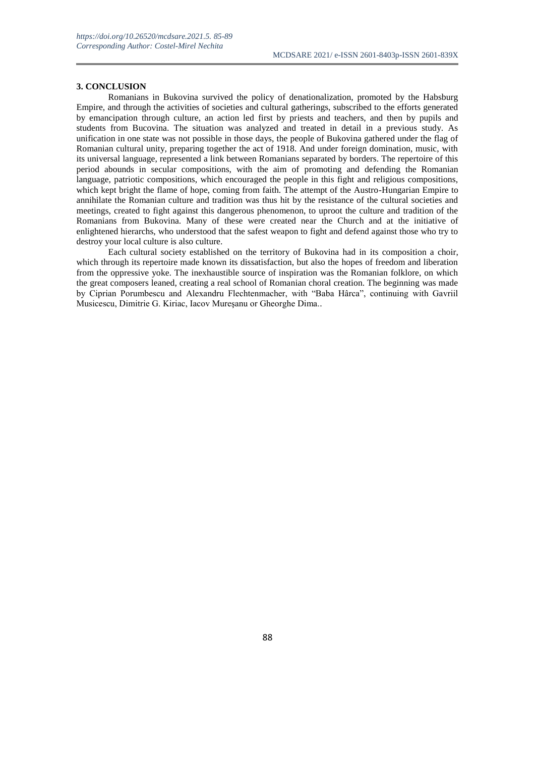#### **3. CONCLUSION**

Romanians in Bukovina survived the policy of denationalization, promoted by the Habsburg Empire, and through the activities of societies and cultural gatherings, subscribed to the efforts generated by emancipation through culture, an action led first by priests and teachers, and then by pupils and students from Bucovina. The situation was analyzed and treated in detail in a previous study. As unification in one state was not possible in those days, the people of Bukovina gathered under the flag of Romanian cultural unity, preparing together the act of 1918. And under foreign domination, music, with its universal language, represented a link between Romanians separated by borders. The repertoire of this period abounds in secular compositions, with the aim of promoting and defending the Romanian language, patriotic compositions, which encouraged the people in this fight and religious compositions, which kept bright the flame of hope, coming from faith. The attempt of the Austro-Hungarian Empire to annihilate the Romanian culture and tradition was thus hit by the resistance of the cultural societies and meetings, created to fight against this dangerous phenomenon, to uproot the culture and tradition of the Romanians from Bukovina. Many of these were created near the Church and at the initiative of enlightened hierarchs, who understood that the safest weapon to fight and defend against those who try to destroy your local culture is also culture.

Each cultural society established on the territory of Bukovina had in its composition a choir, which through its repertoire made known its dissatisfaction, but also the hopes of freedom and liberation from the oppressive yoke. The inexhaustible source of inspiration was the Romanian folklore, on which the great composers leaned, creating a real school of Romanian choral creation. The beginning was made by Ciprian Porumbescu and Alexandru Flechtenmacher, with "Baba Hârca", continuing with Gavriil Musicescu, Dimitrie G. Kiriac, Iacov Mureşanu or Gheorghe Dima..